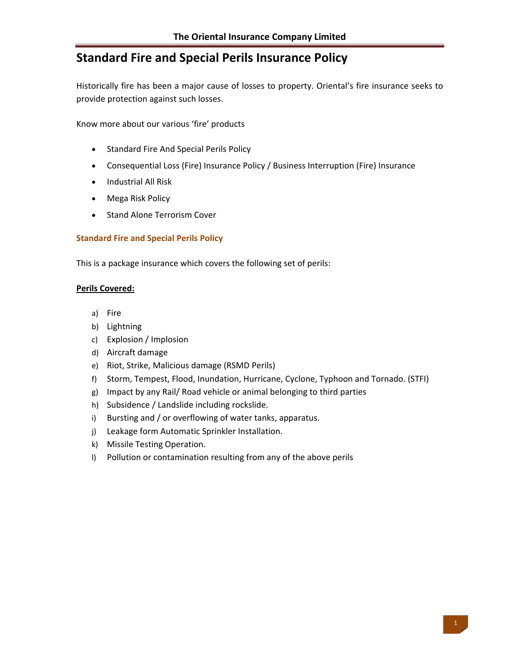# **Standard Fire and Special Perils Insurance Policy**

Historically fire has been a major cause of losses to property. Oriental's fire insurance seeks to provide protection against such losses.

Know more about our various 'fire' products

- Standard Fire And Special Perils Policy
- Consequential Loss (Fire) Insurance Policy / Business Interruption (Fire) Insurance
- Industrial All Risk
- Mega Risk Policy
- Stand Alone Terrorism Cover

#### **Standard Fire and Special Perils Policy**

This is a package insurance which covers the following set of perils:

#### **Perils Covered:**

- a) Fire
- b) Lightning
- c) Explosion / Implosion
- d) Aircraft damage
- e) Riot, Strike, Malicious damage (RSMD Perils)
- f) Storm, Tempest, Flood, Inundation, Hurricane, Cyclone, Typhoon and Tornado. (STFI)
- g) Impact by any Rail/ Road vehicle or animal belonging to third parties
- h) Subsidence / Landslide including rockslide.
- i) Bursting and / or overflowing of water tanks, apparatus.
- j) Leakage form Automatic Sprinkler Installation.
- k) Missile Testing Operation.
- l) Pollution or contamination resulting from any of the above perils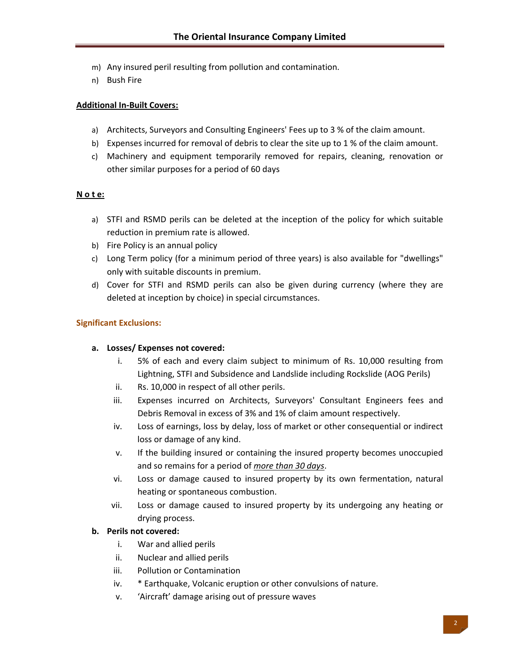- m) Any insured peril resulting from pollution and contamination.
- n) Bush Fire

#### **Additional In‐Built Covers:**

- a) Architects, Surveyors and Consulting Engineers' Fees up to 3 % of the claim amount.
- b) Expenses incurred for removal of debris to clear the site up to 1 % of the claim amount.
- c) Machinery and equipment temporarily removed for repairs, cleaning, renovation or other similar purposes for a period of 60 days

## **N o t e:**

- a) STFI and RSMD perils can be deleted at the inception of the policy for which suitable reduction in premium rate is allowed.
- b) Fire Policy is an annual policy
- c) Long Term policy (for a minimum period of three years) is also available for "dwellings" only with suitable discounts in premium.
- d) Cover for STFI and RSMD perils can also be given during currency (where they are deleted at inception by choice) in special circumstances.

## **Significant Exclusions:**

#### **a. Losses/ Expenses not covered:**

- i. 5% of each and every claim subject to minimum of Rs. 10,000 resulting from Lightning, STFI and Subsidence and Landslide including Rockslide (AOG Perils)
- ii. Rs. 10,000 in respect of all other perils.
- iii. Expenses incurred on Architects, Surveyors' Consultant Engineers fees and Debris Removal in excess of 3% and 1% of claim amount respectively.
- iv. Loss of earnings, loss by delay, loss of market or other consequential or indirect loss or damage of any kind.
- v. If the building insured or containing the insured property becomes unoccupied and so remains for a period of *more than 30 days*.
- vi. Loss or damage caused to insured property by its own fermentation, natural heating or spontaneous combustion.
- vii. Loss or damage caused to insured property by its undergoing any heating or drying process.

## **b. Perils not covered:**

- i. War and allied perils
- ii. Nuclear and allied perils
- iii. Pollution or Contamination
- iv. \* Earthquake, Volcanic eruption or other convulsions of nature.
- v. 'Aircraft' damage arising out of pressure waves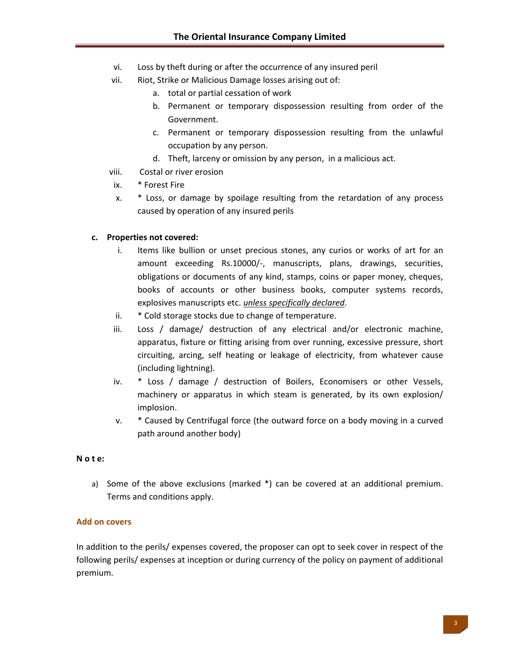- vi. Loss by theft during or after the occurrence of any insured peril
- vii. Riot, Strike or Malicious Damage losses arising out of:
	- a. total or partial cessation of work
	- b. Permanent or temporary dispossession resulting from order of the Government.
	- c. Permanent or temporary dispossession resulting from the unlawful occupation by any person.
	- d. Theft, larceny or omission by any person, in a malicious act.
- viii. Costal or river erosion
- ix. \* Forest Fire
- x. \* Loss, or damage by spoilage resulting from the retardation of any process caused by operation of any insured perils

#### **c. Properties not covered:**

- i. Items like bullion or unset precious stones, any curios or works of art for an amount exceeding Rs.10000/-, manuscripts, plans, drawings, securities, obligations or documents of any kind, stamps, coins or paper money, cheques, books of accounts or other business books, computer systems records, explosives manuscripts etc. *unless specifically declared*.
- ii. \* Cold storage stocks due to change of temperature.
- iii. Loss / damage/ destruction of any electrical and/or electronic machine, apparatus, fixture or fitting arising from over running, excessive pressure, short circuiting, arcing, self heating or leakage of electricity, from whatever cause (including lightning).
- iv. \* Loss / damage / destruction of Boilers, Economisers or other Vessels, machinery or apparatus in which steam is generated, by its own explosion/ implosion.
- v. \* Caused by Centrifugal force (the outward force on a body moving in a curved path around another body)

#### **N o t e:**

a) Some of the above exclusions (marked \*) can be covered at an additional premium. Terms and conditions apply.

#### **Add on covers**

In addition to the perils/ expenses covered, the proposer can opt to seek cover in respect of the following perils/ expenses at inception or during currency of the policy on payment of additional premium.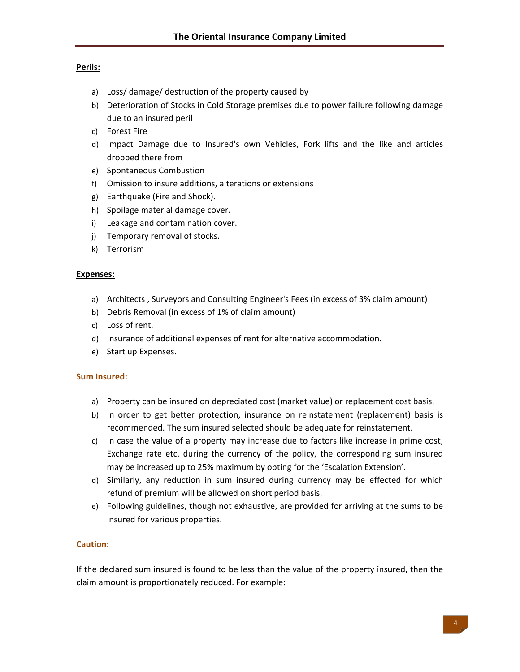## **Perils:**

- a) Loss/ damage/ destruction of the property caused by
- b) Deterioration of Stocks in Cold Storage premises due to power failure following damage due to an insured peril
- c) Forest Fire
- d) Impact Damage due to Insured's own Vehicles, Fork lifts and the like and articles dropped there from
- e) Spontaneous Combustion
- f) Omission to insure additions, alterations or extensions
- g) Earthquake (Fire and Shock).
- h) Spoilage material damage cover.
- i) Leakage and contamination cover.
- j) Temporary removal of stocks.
- k) Terrorism

#### **Expenses:**

- a) Architects , Surveyors and Consulting Engineer's Fees (in excess of 3% claim amount)
- b) Debris Removal (in excess of 1% of claim amount)
- c) Loss of rent.
- d) Insurance of additional expenses of rent for alternative accommodation.
- e) Start up Expenses.

## **Sum Insured:**

- a) Property can be insured on depreciated cost (market value) or replacement cost basis.
- b) In order to get better protection, insurance on reinstatement (replacement) basis is recommended. The sum insured selected should be adequate for reinstatement.
- c) In case the value of a property may increase due to factors like increase in prime cost, Exchange rate etc. during the currency of the policy, the corresponding sum insured may be increased up to 25% maximum by opting for the 'Escalation Extension'.
- d) Similarly, any reduction in sum insured during currency may be effected for which refund of premium will be allowed on short period basis.
- e) Following guidelines, though not exhaustive, are provided for arriving at the sums to be insured for various properties.

## **Caution:**

If the declared sum insured is found to be less than the value of the property insured, then the claim amount is proportionately reduced. For example: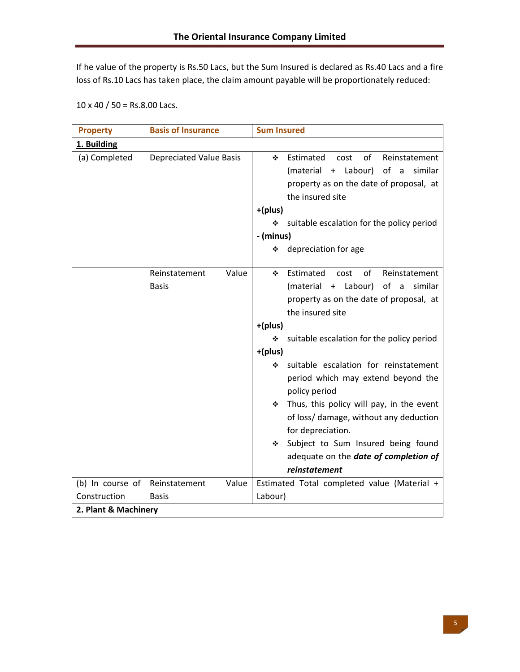If he value of the property is Rs.50 Lacs, but the Sum Insured is declared as Rs.40 Lacs and a fire loss of Rs.10 Lacs has taken place, the claim amount payable will be proportionately reduced:

|  | $10 \times 40 / 50 =$ Rs.8.00 Lacs. |
|--|-------------------------------------|
|--|-------------------------------------|

| <b>Property</b>      | <b>Basis of Insurance</b>       | <b>Sum Insured</b>                                                                                                                                                                                                                                                                                                                                                                                                                                                                                                                                              |
|----------------------|---------------------------------|-----------------------------------------------------------------------------------------------------------------------------------------------------------------------------------------------------------------------------------------------------------------------------------------------------------------------------------------------------------------------------------------------------------------------------------------------------------------------------------------------------------------------------------------------------------------|
| 1. Building          |                                 |                                                                                                                                                                                                                                                                                                                                                                                                                                                                                                                                                                 |
| (a) Completed        | <b>Depreciated Value Basis</b>  | Estimated<br>of<br>Reinstatement<br>٠<br>cost<br>of a<br>(material + Labour)<br>similar<br>property as on the date of proposal, at<br>the insured site<br>+(plus)<br>suitable escalation for the policy period<br>❖<br>- (minus)<br>depreciation for age<br>❖                                                                                                                                                                                                                                                                                                   |
|                      | Value<br>Reinstatement<br>Basis | Estimated<br>of<br>Reinstatement<br>cost<br>❖<br>(material + Labour)<br>of a<br>similar<br>property as on the date of proposal, at<br>the insured site<br>+(plus)<br>suitable escalation for the policy period<br>❖<br>+(plus)<br>suitable escalation for reinstatement<br>❖<br>period which may extend beyond the<br>policy period<br>Thus, this policy will pay, in the event<br>❖<br>of loss/ damage, without any deduction<br>for depreciation.<br>Subject to Sum Insured being found<br>❖<br>adequate on the <b>date of completion of</b><br>reinstatement |
| (b) In course of     | Reinstatement<br>Value          | Estimated Total completed value (Material +                                                                                                                                                                                                                                                                                                                                                                                                                                                                                                                     |
| Construction         | <b>Basis</b>                    | Labour)                                                                                                                                                                                                                                                                                                                                                                                                                                                                                                                                                         |
| 2. Plant & Machinery |                                 |                                                                                                                                                                                                                                                                                                                                                                                                                                                                                                                                                                 |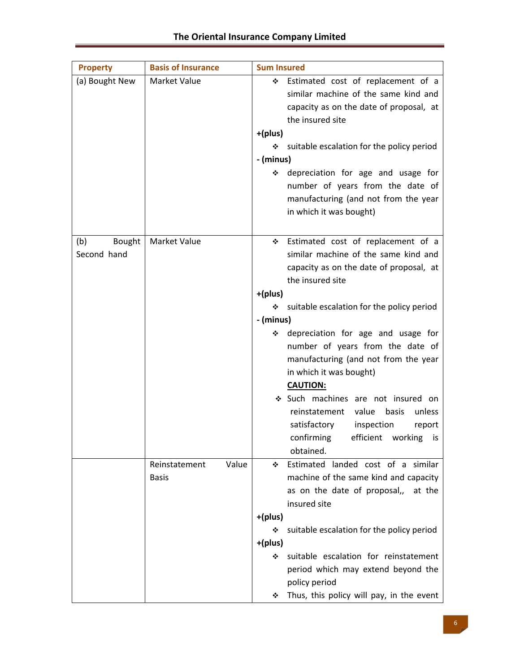| <b>Property</b>              | <b>Basis of Insurance</b>              | <b>Sum Insured</b>                                                                                                                                                          |
|------------------------------|----------------------------------------|-----------------------------------------------------------------------------------------------------------------------------------------------------------------------------|
| (a) Bought New               | Market Value                           | Estimated cost of replacement of a<br>❖<br>similar machine of the same kind and<br>capacity as on the date of proposal, at<br>the insured site                              |
|                              |                                        | +(plus)<br>suitable escalation for the policy period<br>❖                                                                                                                   |
|                              |                                        | - (minus)                                                                                                                                                                   |
|                              |                                        | depreciation for age and usage for<br>❖<br>number of years from the date of<br>manufacturing (and not from the year<br>in which it was bought)                              |
| (b)<br>Bought<br>Second hand | <b>Market Value</b>                    | Estimated cost of replacement of a<br>❖<br>similar machine of the same kind and<br>capacity as on the date of proposal, at<br>the insured site                              |
|                              |                                        | +(plus)                                                                                                                                                                     |
|                              |                                        | suitable escalation for the policy period<br>❖                                                                                                                              |
|                              |                                        | - (minus)                                                                                                                                                                   |
|                              |                                        | depreciation for age and usage for<br>※<br>number of years from the date of<br>manufacturing (and not from the year<br>in which it was bought)<br><b>CAUTION:</b>           |
|                              |                                        | Such machines are not insured on<br>reinstatement<br>value<br>basis<br>unless<br>satisfactory<br>inspection<br>report<br>confirming<br>efficient working<br>is<br>obtained. |
|                              | Value<br>Reinstatement<br><b>Basis</b> | Estimated landed cost of a similar<br>❖<br>machine of the same kind and capacity<br>as on the date of proposal,, at the<br>insured site                                     |
|                              |                                        | +(plus)                                                                                                                                                                     |
|                              |                                        | suitable escalation for the policy period<br>❖                                                                                                                              |
|                              |                                        | +(plus)<br>suitable escalation for reinstatement<br>❖<br>period which may extend beyond the<br>policy period<br>Thus, this policy will pay, in the event<br>❖               |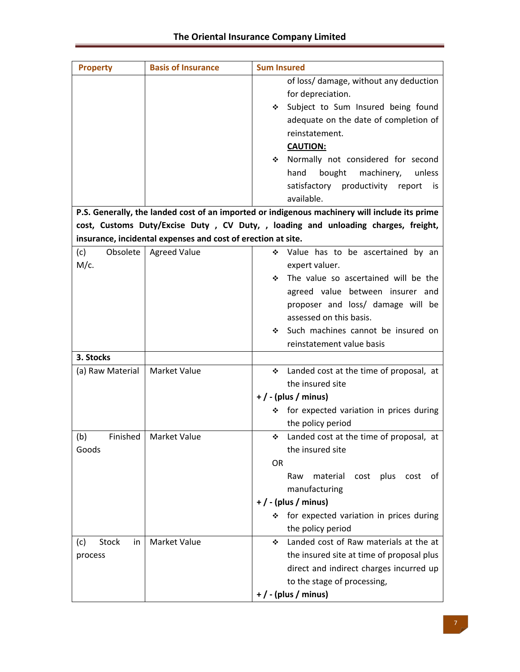| <b>Property</b>    | <b>Basis of Insurance</b>                                    | <b>Sum Insured</b>                                                                            |
|--------------------|--------------------------------------------------------------|-----------------------------------------------------------------------------------------------|
|                    |                                                              | of loss/ damage, without any deduction                                                        |
|                    |                                                              | for depreciation.                                                                             |
|                    |                                                              | Subject to Sum Insured being found<br>豪心                                                      |
|                    |                                                              | adequate on the date of completion of                                                         |
|                    |                                                              | reinstatement.                                                                                |
|                    |                                                              | <b>CAUTION:</b>                                                                               |
|                    |                                                              | Normally not considered for second<br>※ 1                                                     |
|                    |                                                              | bought<br>machinery,<br>hand<br>unless                                                        |
|                    |                                                              | satisfactory productivity report<br>is.                                                       |
|                    |                                                              | available.                                                                                    |
|                    |                                                              | P.S. Generally, the landed cost of an imported or indigenous machinery will include its prime |
|                    |                                                              | cost, Customs Duty/Excise Duty , CV Duty, , loading and unloading charges, freight,           |
|                    | insurance, incidental expenses and cost of erection at site. |                                                                                               |
| Obsolete  <br>(c)  | <b>Agreed Value</b>                                          | ❖ Value has to be ascertained by an                                                           |
| $M/c$ .            |                                                              | expert valuer.                                                                                |
|                    |                                                              | The value so ascertained will be the<br>※ 1                                                   |
|                    |                                                              | agreed value between insurer and                                                              |
|                    |                                                              | proposer and loss/ damage will be                                                             |
|                    |                                                              | assessed on this basis.                                                                       |
|                    |                                                              | Such machines cannot be insured on<br>❖                                                       |
|                    |                                                              | reinstatement value basis                                                                     |
| 3. Stocks          |                                                              |                                                                                               |
| (a) Raw Material   | <b>Market Value</b>                                          | ❖ Landed cost at the time of proposal, at                                                     |
|                    |                                                              | the insured site                                                                              |
|                    |                                                              | $+$ / - (plus / minus)                                                                        |
|                    |                                                              | ❖ for expected variation in prices during                                                     |
|                    |                                                              | the policy period                                                                             |
| Finished<br>(b)    | <b>Market Value</b>                                          | Landed cost at the time of proposal, at<br>❖                                                  |
| Goods              |                                                              | the insured site                                                                              |
|                    |                                                              | <b>OR</b>                                                                                     |
|                    |                                                              | material<br>plus<br>Raw<br>cost<br>cost<br>0t                                                 |
|                    |                                                              | manufacturing                                                                                 |
|                    |                                                              | $+$ / - (plus / minus)                                                                        |
|                    |                                                              | for expected variation in prices during<br>❖                                                  |
|                    |                                                              | the policy period                                                                             |
| Stock<br>(c)<br>in | <b>Market Value</b>                                          | Landed cost of Raw materials at the at<br>❖                                                   |
| process            |                                                              | the insured site at time of proposal plus                                                     |
|                    |                                                              | direct and indirect charges incurred up                                                       |
|                    |                                                              | to the stage of processing,                                                                   |
|                    |                                                              | $+$ / - (plus / minus)                                                                        |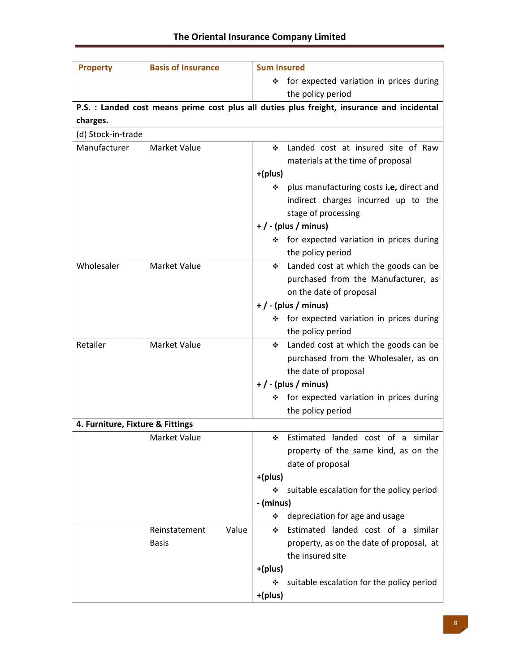| <b>Property</b>                  | <b>Basis of Insurance</b> | <b>Sum Insured</b>                                                                         |  |  |  |  |
|----------------------------------|---------------------------|--------------------------------------------------------------------------------------------|--|--|--|--|
|                                  |                           | for expected variation in prices during<br>❖                                               |  |  |  |  |
|                                  |                           | the policy period                                                                          |  |  |  |  |
|                                  |                           | P.S. : Landed cost means prime cost plus all duties plus freight, insurance and incidental |  |  |  |  |
| charges.                         |                           |                                                                                            |  |  |  |  |
| (d) Stock-in-trade               |                           |                                                                                            |  |  |  |  |
| Manufacturer                     | <b>Market Value</b>       | Landed cost at insured site of Raw<br>❖                                                    |  |  |  |  |
|                                  |                           | materials at the time of proposal                                                          |  |  |  |  |
|                                  |                           | +(plus)                                                                                    |  |  |  |  |
|                                  |                           | plus manufacturing costs i.e, direct and<br>❖                                              |  |  |  |  |
|                                  |                           | indirect charges incurred up to the                                                        |  |  |  |  |
|                                  |                           | stage of processing                                                                        |  |  |  |  |
|                                  |                           | $+$ / - (plus / minus)                                                                     |  |  |  |  |
|                                  |                           | ❖ for expected variation in prices during                                                  |  |  |  |  |
|                                  |                           | the policy period                                                                          |  |  |  |  |
| Wholesaler                       | <b>Market Value</b>       | Landed cost at which the goods can be<br>❖                                                 |  |  |  |  |
|                                  |                           | purchased from the Manufacturer, as                                                        |  |  |  |  |
|                                  |                           | on the date of proposal                                                                    |  |  |  |  |
|                                  |                           | $+$ / - (plus / minus)                                                                     |  |  |  |  |
|                                  |                           | for expected variation in prices during<br>❖                                               |  |  |  |  |
|                                  |                           | the policy period                                                                          |  |  |  |  |
| Retailer                         | Market Value              | Landed cost at which the goods can be<br>❖                                                 |  |  |  |  |
|                                  |                           | purchased from the Wholesaler, as on                                                       |  |  |  |  |
|                                  |                           | the date of proposal                                                                       |  |  |  |  |
|                                  |                           | $+$ / - (plus / minus)                                                                     |  |  |  |  |
|                                  |                           | for expected variation in prices during<br>❖                                               |  |  |  |  |
|                                  |                           | the policy period                                                                          |  |  |  |  |
| 4. Furniture, Fixture & Fittings |                           |                                                                                            |  |  |  |  |
|                                  | Market Value              | Estimated landed cost of a similar<br>٠                                                    |  |  |  |  |
|                                  |                           | property of the same kind, as on the                                                       |  |  |  |  |
|                                  |                           | date of proposal                                                                           |  |  |  |  |
|                                  |                           | +(plus)                                                                                    |  |  |  |  |
|                                  |                           | suitable escalation for the policy period<br>❖                                             |  |  |  |  |
|                                  |                           | - (minus)                                                                                  |  |  |  |  |
|                                  |                           | depreciation for age and usage<br>❖                                                        |  |  |  |  |
|                                  | Reinstatement<br>Value    | Estimated landed cost of a similar<br>❖                                                    |  |  |  |  |
|                                  | <b>Basis</b>              | property, as on the date of proposal, at                                                   |  |  |  |  |
|                                  |                           | the insured site                                                                           |  |  |  |  |
|                                  |                           | +(plus)                                                                                    |  |  |  |  |
|                                  |                           | suitable escalation for the policy period<br>❖                                             |  |  |  |  |
|                                  |                           | +(plus)                                                                                    |  |  |  |  |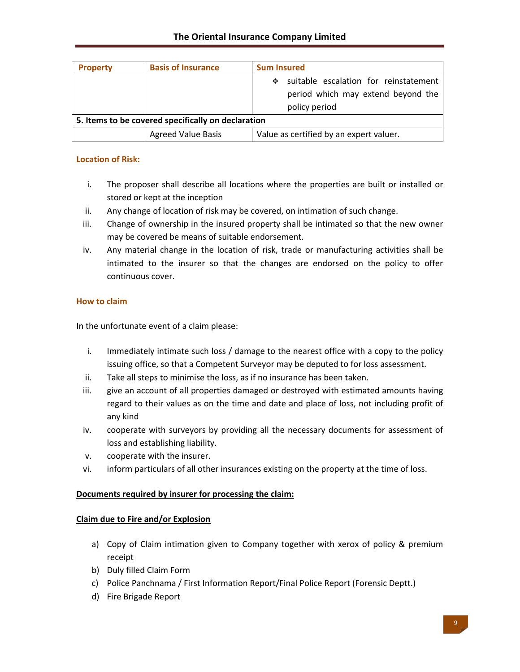| <b>Property</b>                                    | <b>Basis of Insurance</b> | <b>Sum Insured</b>                         |
|----------------------------------------------------|---------------------------|--------------------------------------------|
|                                                    |                           | suitable escalation for reinstatement<br>❖ |
|                                                    |                           | period which may extend beyond the         |
|                                                    |                           | policy period                              |
| 5. Items to be covered specifically on declaration |                           |                                            |
|                                                    | <b>Agreed Value Basis</b> | Value as certified by an expert valuer.    |

## **Location of Risk:**

- i. The proposer shall describe all locations where the properties are built or installed or stored or kept at the inception
- ii. Any change of location of risk may be covered, on intimation of such change.
- iii. Change of ownership in the insured property shall be intimated so that the new owner may be covered be means of suitable endorsement.
- iv. Any material change in the location of risk, trade or manufacturing activities shall be intimated to the insurer so that the changes are endorsed on the policy to offer continuous cover.

## **How to claim**

In the unfortunate event of a claim please:

- i. Immediately intimate such loss / damage to the nearest office with a copy to the policy issuing office, so that a Competent Surveyor may be deputed to for loss assessment.
- ii. Take all steps to minimise the loss, as if no insurance has been taken.
- iii. give an account of all properties damaged or destroyed with estimated amounts having regard to their values as on the time and date and place of loss, not including profit of any kind
- iv. cooperate with surveyors by providing all the necessary documents for assessment of loss and establishing liability.
- v. cooperate with the insurer.
- vi. inform particulars of all other insurances existing on the property at the time of loss.

## **Documents required by insurer for processing the claim:**

## **Claim due to Fire and/or Explosion**

- a) Copy of Claim intimation given to Company together with xerox of policy & premium receipt
- b) Duly filled Claim Form
- c) Police Panchnama / First Information Report/Final Police Report (Forensic Deptt.)
- d) Fire Brigade Report